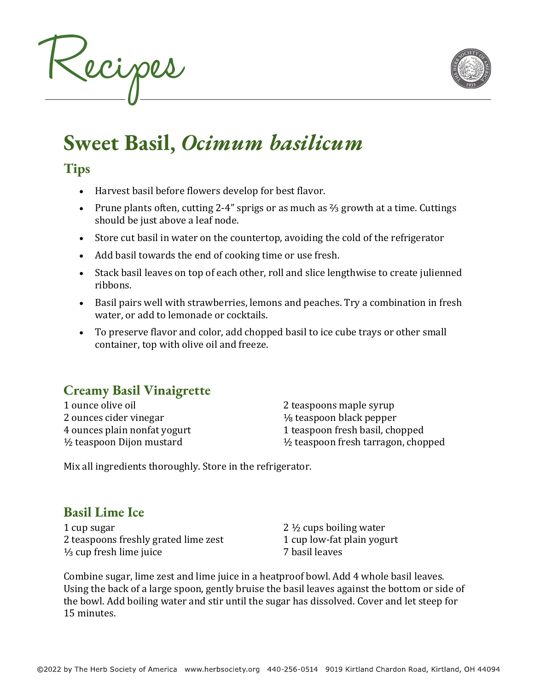



# **Sweet Basil,** *Ocimum basilicum*

### **Tips**

- Harvest basil before flowers develop for best flavor.
- Prune plants often, cutting 2-4" sprigs or as much as  $\frac{2}{3}$  growth at a time. Cuttings should be just above a leaf node.
- Store cut basil in water on the countertop, avoiding the cold of the refrigerator
- Add basil towards the end of cooking time or use fresh.
- Stack basil leaves on top of each other, roll and slice lengthwise to create julienned ribbons.
- Basil pairs well with strawberries, lemons and peaches. Try a combination in fresh water, or add to lemonade or cocktails.
- To preserve flavor and color, add chopped basil to ice cube trays or other small container, top with olive oil and freeze.

## **Creamy Basil Vinaigrette**

1 ounce olive oil 2 ounces cider vinegar 4 ounces plain nonfat yogurt  $\frac{1}{2}$  teaspoon Dijon mustard

2 teaspoons maple syrup  $\frac{1}{8}$  teaspoon black pepper 1 teaspoon fresh basil, chopped  $\frac{1}{2}$  teaspoon fresh tarragon, chopped

Mix all ingredients thoroughly. Store in the refrigerator.

## **Basil Lime Ice**

1 cup sugar 2 teaspoons freshly grated lime zest  $\frac{1}{3}$  cup fresh lime juice

2  $\frac{1}{2}$  cups boiling water 1 cup low-fat plain yogurt 7 basil leaves

Combine sugar, lime zest and lime juice in a heatproof bowl. Add 4 whole basil leaves. Using the back of a large spoon, gently bruise the basil leaves against the bottom or side of the bowl. Add boiling water and stir until the sugar has dissolved. Cover and let steep for 15 minutes.